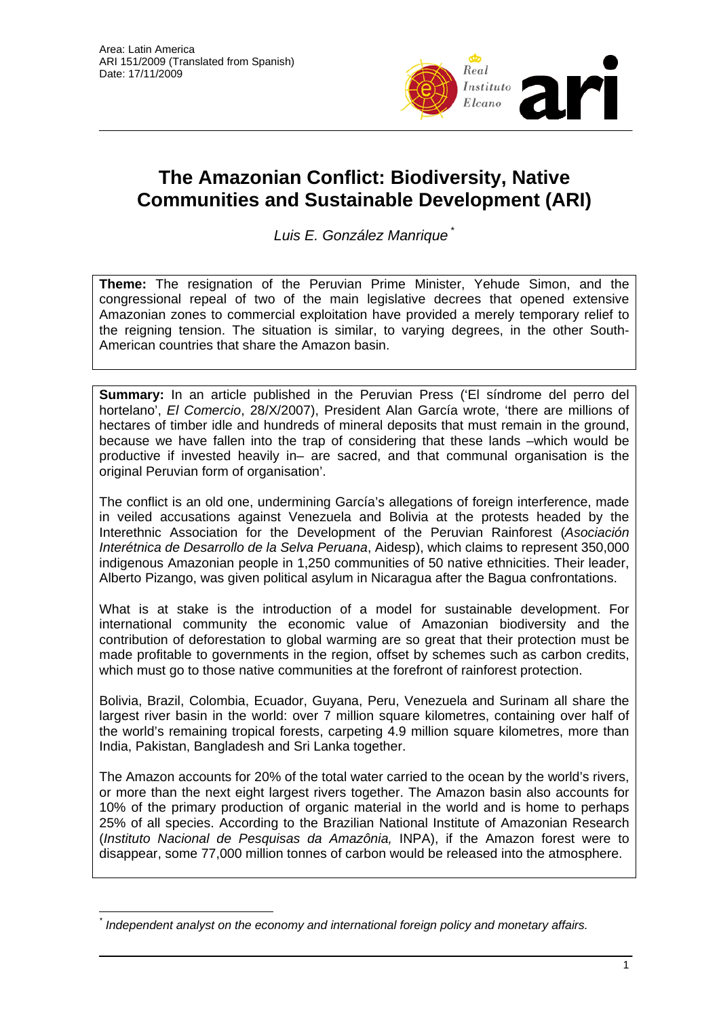

## **The Amazonian Conflict: Biodiversity, Native Communities and Sustainable Development (ARI)**

*Luis E. González Manrique* \*

**Theme:** The resignation of the Peruvian Prime Minister, Yehude Simon, and the congressional repeal of two of the main legislative decrees that opened extensive Amazonian zones to commercial exploitation have provided a merely temporary relief to the reigning tension. The situation is similar, to varying degrees, in the other South-American countries that share the Amazon basin.

**Summary:** In an article published in the Peruvian Press ('El síndrome del perro del hortelano', *El Comercio*, 28/X/2007), President Alan García wrote, 'there are millions of hectares of timber idle and hundreds of mineral deposits that must remain in the ground, because we have fallen into the trap of considering that these lands –which would be productive if invested heavily in– are sacred, and that communal organisation is the original Peruvian form of organisation'.

The conflict is an old one, undermining García's allegations of foreign interference, made in veiled accusations against Venezuela and Bolivia at the protests headed by the Interethnic Association for the Development of the Peruvian Rainforest (*Asociación Interétnica de Desarrollo de la Selva Peruana*, Aidesp), which claims to represent 350,000 indigenous Amazonian people in 1,250 communities of 50 native ethnicities. Their leader, Alberto Pizango, was given political asylum in Nicaragua after the Bagua confrontations.

What is at stake is the introduction of a model for sustainable development. For international community the economic value of Amazonian biodiversity and the contribution of deforestation to global warming are so great that their protection must be made profitable to governments in the region, offset by schemes such as carbon credits, which must go to those native communities at the forefront of rainforest protection.

Bolivia, Brazil, Colombia, Ecuador, Guyana, Peru, Venezuela and Surinam all share the largest river basin in the world: over 7 million square kilometres, containing over half of the world's remaining tropical forests, carpeting 4.9 million square kilometres, more than India, Pakistan, Bangladesh and Sri Lanka together.

The Amazon accounts for 20% of the total water carried to the ocean by the world's rivers, or more than the next eight largest rivers together. The Amazon basin also accounts for 10% of the primary production of organic material in the world and is home to perhaps 25% of all species. According to the Brazilian National Institute of Amazonian Research (*Instituto Nacional de Pesquisas da Amazônia,* INPA), if the Amazon forest were to disappear, some 77,000 million tonnes of carbon would be released into the atmosphere.

 $\overline{a}$ *\* Independent analyst on the economy and international foreign policy and monetary affairs.*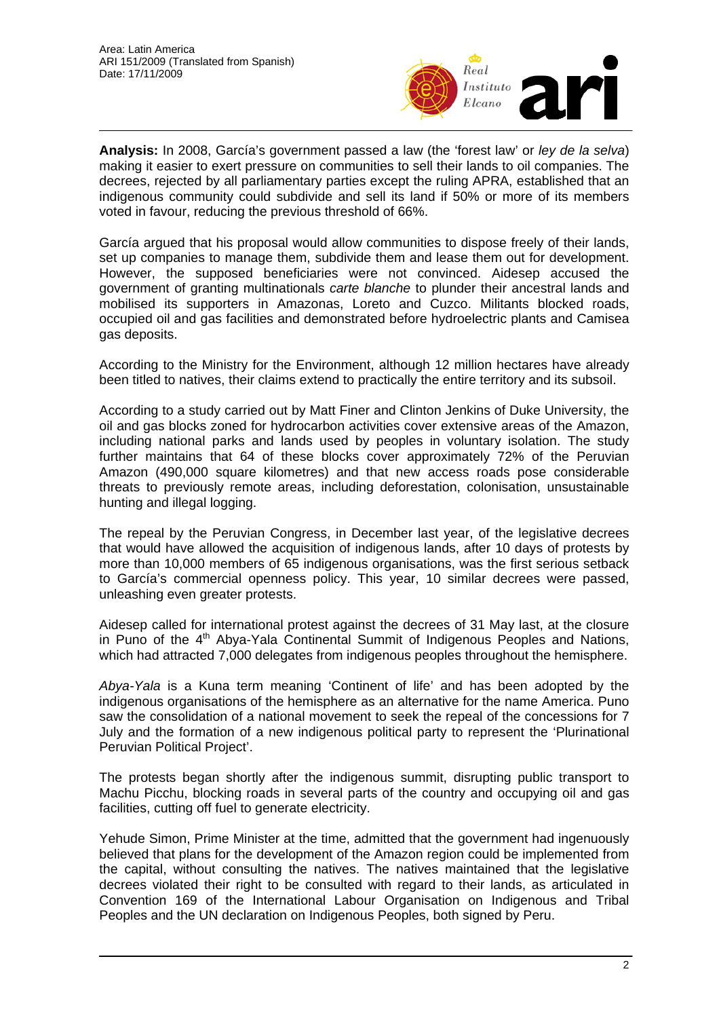

**Analysis:** In 2008, García's government passed a law (the 'forest law' or *ley de la selva*) making it easier to exert pressure on communities to sell their lands to oil companies. The decrees, rejected by all parliamentary parties except the ruling APRA, established that an indigenous community could subdivide and sell its land if 50% or more of its members voted in favour, reducing the previous threshold of 66%.

García argued that his proposal would allow communities to dispose freely of their lands, set up companies to manage them, subdivide them and lease them out for development. However, the supposed beneficiaries were not convinced. Aidesep accused the government of granting multinationals *carte blanche* to plunder their ancestral lands and mobilised its supporters in Amazonas, Loreto and Cuzco. Militants blocked roads, occupied oil and gas facilities and demonstrated before hydroelectric plants and Camisea gas deposits.

According to the Ministry for the Environment, although 12 million hectares have already been titled to natives, their claims extend to practically the entire territory and its subsoil.

According to a study carried out by Matt Finer and Clinton Jenkins of Duke University, the oil and gas blocks zoned for hydrocarbon activities cover extensive areas of the Amazon, including national parks and lands used by peoples in voluntary isolation. The study further maintains that 64 of these blocks cover approximately 72% of the Peruvian Amazon (490,000 square kilometres) and that new access roads pose considerable threats to previously remote areas, including deforestation, colonisation, unsustainable hunting and illegal logging.

The repeal by the Peruvian Congress, in December last year, of the legislative decrees that would have allowed the acquisition of indigenous lands, after 10 days of protests by more than 10,000 members of 65 indigenous organisations, was the first serious setback to García's commercial openness policy. This year, 10 similar decrees were passed, unleashing even greater protests.

Aidesep called for international protest against the decrees of 31 May last, at the closure in Puno of the  $4<sup>th</sup>$  Abya-Yala Continental Summit of Indigenous Peoples and Nations, which had attracted 7,000 delegates from indigenous peoples throughout the hemisphere.

*Abya-Yala* is a Kuna term meaning 'Continent of life' and has been adopted by the indigenous organisations of the hemisphere as an alternative for the name America. Puno saw the consolidation of a national movement to seek the repeal of the concessions for 7 July and the formation of a new indigenous political party to represent the 'Plurinational Peruvian Political Project'.

The protests began shortly after the indigenous summit, disrupting public transport to Machu Picchu, blocking roads in several parts of the country and occupying oil and gas facilities, cutting off fuel to generate electricity.

Yehude Simon, Prime Minister at the time, admitted that the government had ingenuously believed that plans for the development of the Amazon region could be implemented from the capital, without consulting the natives. The natives maintained that the legislative decrees violated their right to be consulted with regard to their lands, as articulated in Convention 169 of the International Labour Organisation on Indigenous and Tribal Peoples and the UN declaration on Indigenous Peoples, both signed by Peru.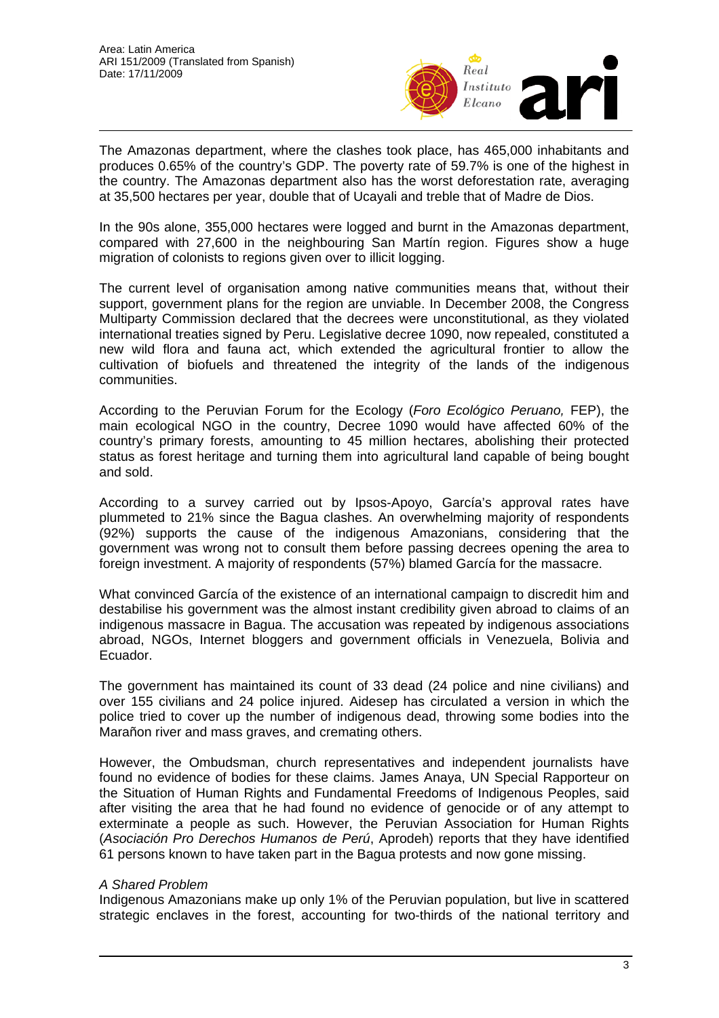

The Amazonas department, where the clashes took place, has 465,000 inhabitants and produces 0.65% of the country's GDP. The poverty rate of 59.7% is one of the highest in the country. The Amazonas department also has the worst deforestation rate, averaging at 35,500 hectares per year, double that of Ucayali and treble that of Madre de Dios.

In the 90s alone, 355,000 hectares were logged and burnt in the Amazonas department, compared with 27,600 in the neighbouring San Martín region. Figures show a huge migration of colonists to regions given over to illicit logging.

The current level of organisation among native communities means that, without their support, government plans for the region are unviable. In December 2008, the Congress Multiparty Commission declared that the decrees were unconstitutional, as they violated international treaties signed by Peru. Legislative decree 1090, now repealed, constituted a new wild flora and fauna act, which extended the agricultural frontier to allow the cultivation of biofuels and threatened the integrity of the lands of the indigenous communities.

According to the Peruvian Forum for the Ecology (*Foro Ecológico Peruano,* FEP), the main ecological NGO in the country, Decree 1090 would have affected 60% of the country's primary forests, amounting to 45 million hectares, abolishing their protected status as forest heritage and turning them into agricultural land capable of being bought and sold.

According to a survey carried out by Ipsos-Apoyo, García's approval rates have plummeted to 21% since the Bagua clashes. An overwhelming majority of respondents (92%) supports the cause of the indigenous Amazonians, considering that the government was wrong not to consult them before passing decrees opening the area to foreign investment. A majority of respondents (57%) blamed García for the massacre.

What convinced García of the existence of an international campaign to discredit him and destabilise his government was the almost instant credibility given abroad to claims of an indigenous massacre in Bagua. The accusation was repeated by indigenous associations abroad, NGOs, Internet bloggers and government officials in Venezuela, Bolivia and Ecuador.

The government has maintained its count of 33 dead (24 police and nine civilians) and over 155 civilians and 24 police injured. Aidesep has circulated a version in which the police tried to cover up the number of indigenous dead, throwing some bodies into the Marañon river and mass graves, and cremating others.

However, the Ombudsman, church representatives and independent journalists have found no evidence of bodies for these claims. James Anaya, UN Special Rapporteur on the Situation of Human Rights and Fundamental Freedoms of Indigenous Peoples, said after visiting the area that he had found no evidence of genocide or of any attempt to exterminate a people as such. However, the Peruvian Association for Human Rights (*Asociación Pro Derechos Humanos de Perú*, Aprodeh) reports that they have identified 61 persons known to have taken part in the Bagua protests and now gone missing.

## *A Shared Problem*

Indigenous Amazonians make up only 1% of the Peruvian population, but live in scattered strategic enclaves in the forest, accounting for two-thirds of the national territory and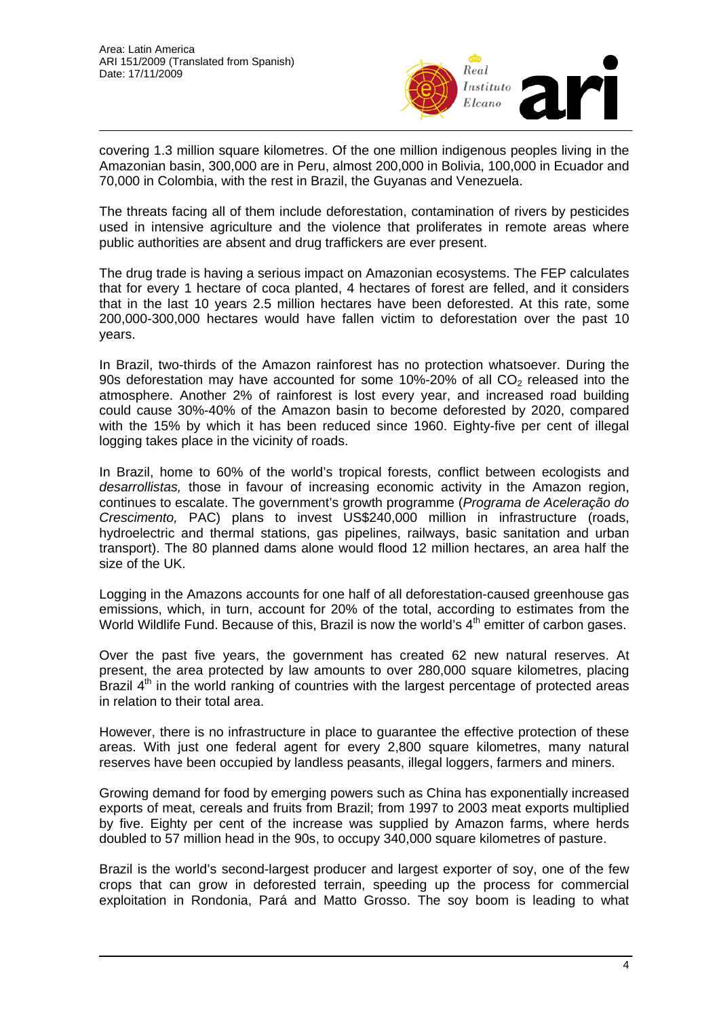

covering 1.3 million square kilometres. Of the one million indigenous peoples living in the Amazonian basin, 300,000 are in Peru, almost 200,000 in Bolivia, 100,000 in Ecuador and 70,000 in Colombia, with the rest in Brazil, the Guyanas and Venezuela.

The threats facing all of them include deforestation, contamination of rivers by pesticides used in intensive agriculture and the violence that proliferates in remote areas where public authorities are absent and drug traffickers are ever present.

The drug trade is having a serious impact on Amazonian ecosystems. The FEP calculates that for every 1 hectare of coca planted, 4 hectares of forest are felled, and it considers that in the last 10 years 2.5 million hectares have been deforested. At this rate, some 200,000-300,000 hectares would have fallen victim to deforestation over the past 10 years.

In Brazil, two-thirds of the Amazon rainforest has no protection whatsoever. During the 90s deforestation may have accounted for some  $10\%$ -20% of all CO<sub>2</sub> released into the atmosphere. Another 2% of rainforest is lost every year, and increased road building could cause 30%-40% of the Amazon basin to become deforested by 2020, compared with the 15% by which it has been reduced since 1960. Eighty-five per cent of illegal logging takes place in the vicinity of roads.

In Brazil, home to 60% of the world's tropical forests, conflict between ecologists and *desarrollistas,* those in favour of increasing economic activity in the Amazon region, continues to escalate. The government's growth programme (*Programa de Aceleração do Crescimento,* PAC) plans to invest US\$240,000 million in infrastructure (roads, hydroelectric and thermal stations, gas pipelines, railways, basic sanitation and urban transport). The 80 planned dams alone would flood 12 million hectares, an area half the size of the UK.

Logging in the Amazons accounts for one half of all deforestation-caused greenhouse gas emissions, which, in turn, account for 20% of the total, according to estimates from the World Wildlife Fund. Because of this, Brazil is now the world's  $4<sup>th</sup>$  emitter of carbon gases.

Over the past five years, the government has created 62 new natural reserves. At present, the area protected by law amounts to over 280,000 square kilometres, placing Brazil  $4<sup>th</sup>$  in the world ranking of countries with the largest percentage of protected areas in relation to their total area.

However, there is no infrastructure in place to guarantee the effective protection of these areas. With just one federal agent for every 2,800 square kilometres, many natural reserves have been occupied by landless peasants, illegal loggers, farmers and miners.

Growing demand for food by emerging powers such as China has exponentially increased exports of meat, cereals and fruits from Brazil; from 1997 to 2003 meat exports multiplied by five. Eighty per cent of the increase was supplied by Amazon farms, where herds doubled to 57 million head in the 90s, to occupy 340,000 square kilometres of pasture.

Brazil is the world's second-largest producer and largest exporter of soy, one of the few crops that can grow in deforested terrain, speeding up the process for commercial exploitation in Rondonia, Pará and Matto Grosso. The soy boom is leading to what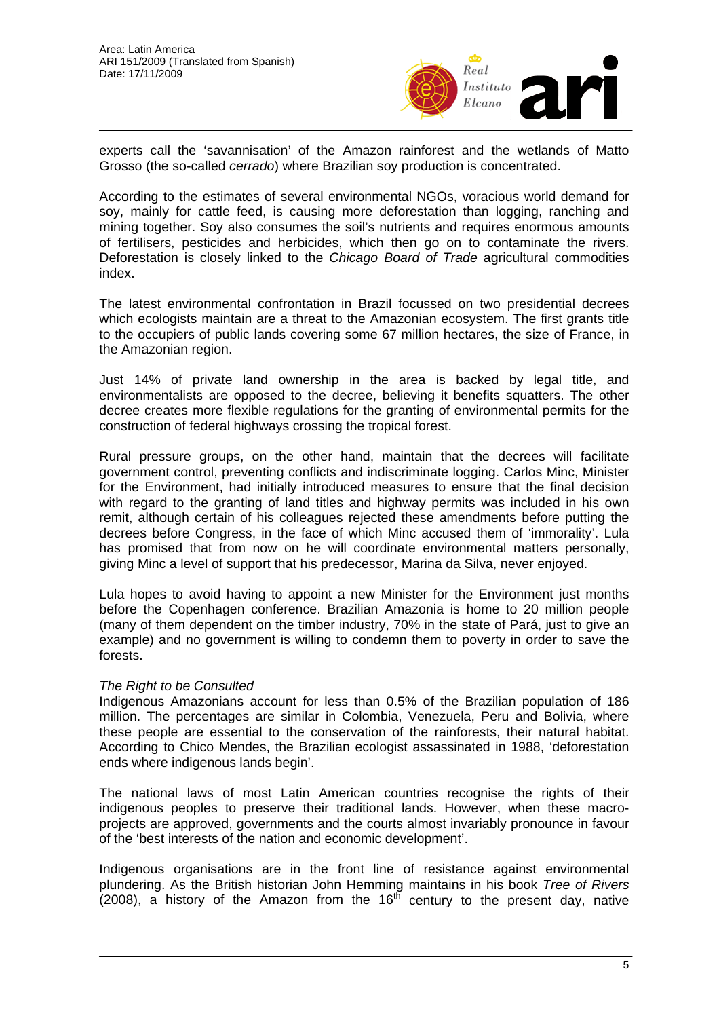

experts call the 'savannisation' of the Amazon rainforest and the wetlands of Matto Grosso (the so-called *cerrado*) where Brazilian soy production is concentrated.

According to the estimates of several environmental NGOs, voracious world demand for soy, mainly for cattle feed, is causing more deforestation than logging, ranching and mining together. Soy also consumes the soil's nutrients and requires enormous amounts of fertilisers, pesticides and herbicides, which then go on to contaminate the rivers. Deforestation is closely linked to the *Chicago Board of Trade* agricultural commodities index.

The latest environmental confrontation in Brazil focussed on two presidential decrees which ecologists maintain are a threat to the Amazonian ecosystem. The first grants title to the occupiers of public lands covering some 67 million hectares, the size of France, in the Amazonian region.

Just 14% of private land ownership in the area is backed by legal title, and environmentalists are opposed to the decree, believing it benefits squatters. The other decree creates more flexible regulations for the granting of environmental permits for the construction of federal highways crossing the tropical forest.

Rural pressure groups, on the other hand, maintain that the decrees will facilitate government control, preventing conflicts and indiscriminate logging. Carlos Minc, Minister for the Environment, had initially introduced measures to ensure that the final decision with regard to the granting of land titles and highway permits was included in his own remit, although certain of his colleagues rejected these amendments before putting the decrees before Congress, in the face of which Minc accused them of 'immorality'. Lula has promised that from now on he will coordinate environmental matters personally, giving Minc a level of support that his predecessor, Marina da Silva, never enjoyed.

Lula hopes to avoid having to appoint a new Minister for the Environment just months before the Copenhagen conference. Brazilian Amazonia is home to 20 million people (many of them dependent on the timber industry, 70% in the state of Pará, just to give an example) and no government is willing to condemn them to poverty in order to save the forests.

## *The Right to be Consulted*

Indigenous Amazonians account for less than 0.5% of the Brazilian population of 186 million. The percentages are similar in Colombia, Venezuela, Peru and Bolivia, where these people are essential to the conservation of the rainforests, their natural habitat. According to Chico Mendes, the Brazilian ecologist assassinated in 1988, 'deforestation ends where indigenous lands begin'.

The national laws of most Latin American countries recognise the rights of their indigenous peoples to preserve their traditional lands. However, when these macroprojects are approved, governments and the courts almost invariably pronounce in favour of the 'best interests of the nation and economic development'.

Indigenous organisations are in the front line of resistance against environmental plundering. As the British historian John Hemming maintains in his book *Tree of Rivers*  $(2008)$ , a history of the Amazon from the 16<sup>th</sup> century to the present day, native